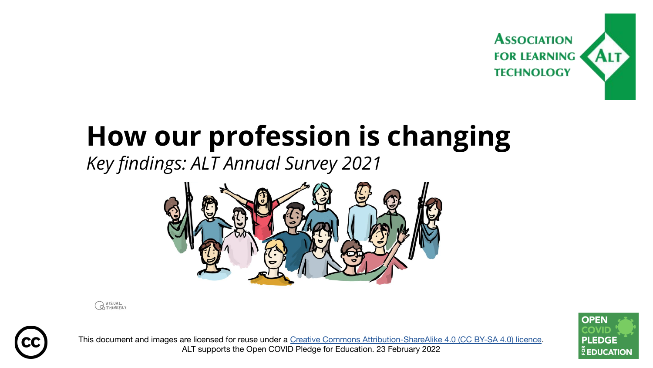

#### **How our profession is changing**

*Key findings: ALT Annual Survey 2021*



**QUISUAL** 



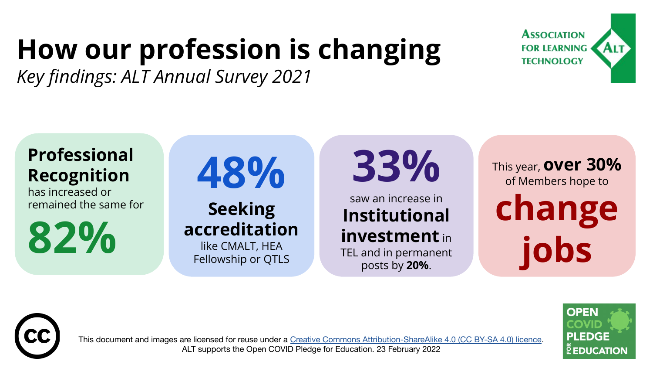### **How our profession is changing**

*Key findings: ALT Annual Survey 2021*





has increased or remained the same for

**82%** 

# **48%**

#### **Seeking accreditation** like CMALT, HEA Fellowship or QTLS

**33%**

saw an increase in **Institutional investment** in TEL and in permanent

posts by **20%**.

This year, **over 30%** of Members hope to **change jobs**

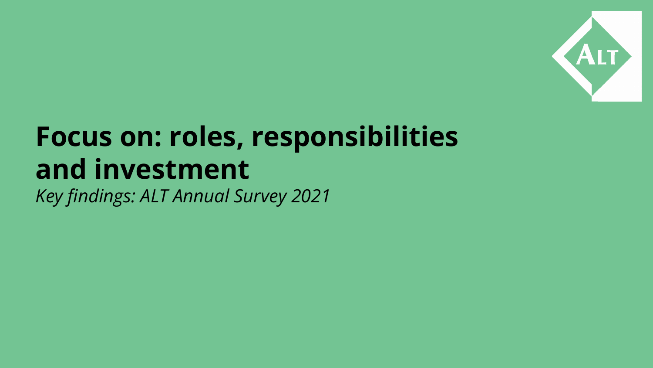

### **Focus on: roles, responsibilities and investment**

*Key findings: ALT Annual Survey 2021*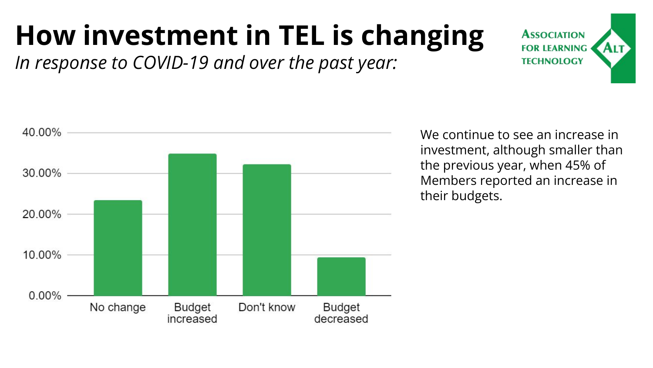### **How investment in TEL is changing**

*In response to COVID-19 and over the past year:*



We continue to see an increase in investment, although smaller than the previous year, when 45% of Members reported an increase in their budgets.

**ASSOCIATION FOR LEARNING TECHNOLOGY**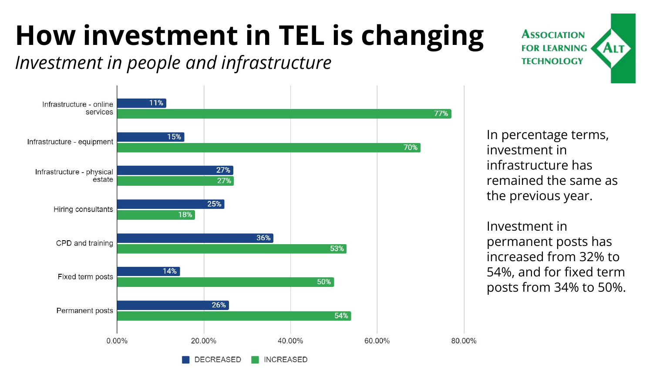## **How investment in TEL is changing**

*Investment in people and infrastructure*



In percentage terms, investment in infrastructure has remained the same as the previous year.

**ASSOCIATION FOR LEARNING** 

**TECHNOLOGY** 

**ALT** 

Investment in permanent posts has increased from 32% to 54%, and for fixed term posts from 34% to 50%.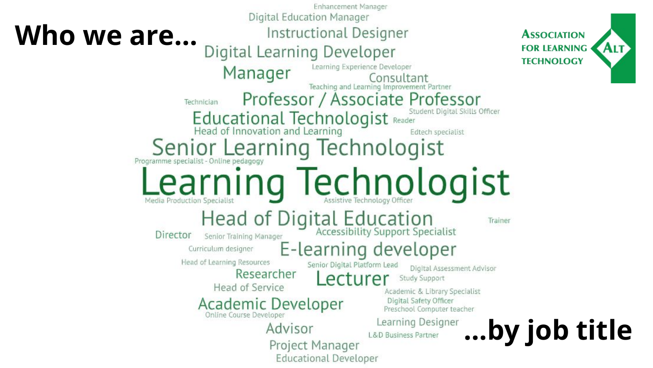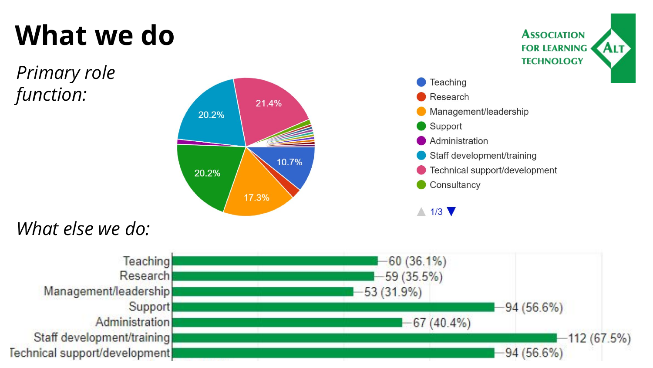### **What we do**

*Primary role function:*



**ASSOCIATION FOR LEARNING** 

**ALT** 

#### *What else we do:*

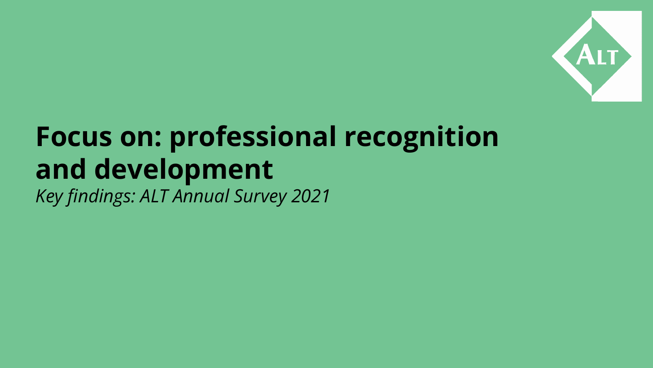

## **Focus on: professional recognition and development**

*Key findings: ALT Annual Survey 2021*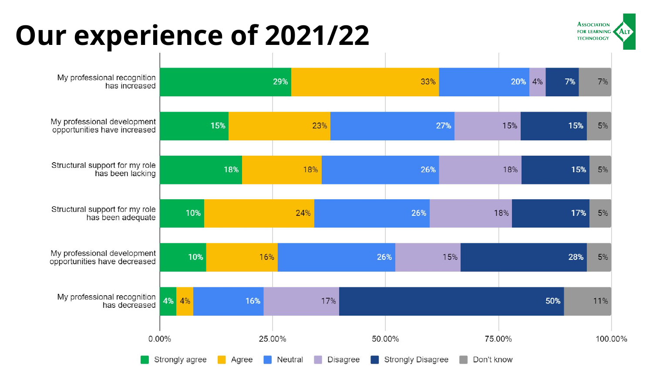#### **Our experience of 2021/22**



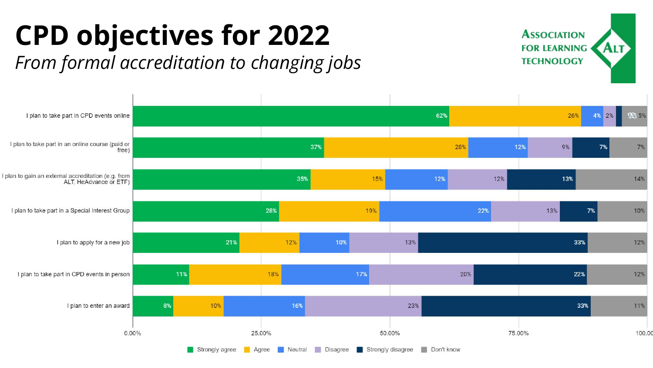#### **CPD objectives for 2022** *From formal accreditation to changing jobs*



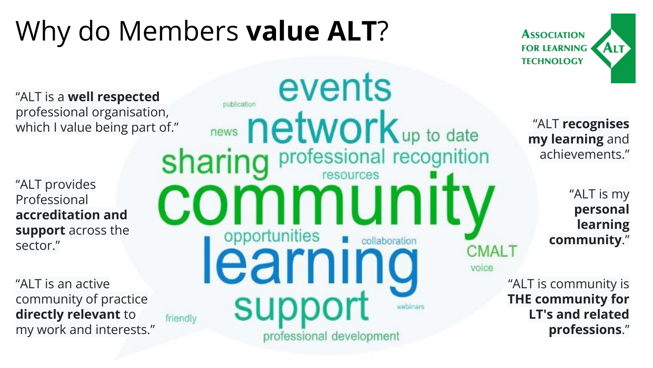### Why do Members **value ALT**?



events "ALT is a **well respected** publication professional organisation, news network up to date "ALT **recognises** which I value being part of." **my learning** and professional recognition sharing achievements." "ALT provides community "ALT is my Professional **personal accreditation and learning support** across the opportunities collaboration **community**." sector." **CMALT** learnır voice "ALT is an active "ALT is community is support **THE community for** community of practice **directly relevant** to **LT's and related** friendly my work and interests." **professions**."professional development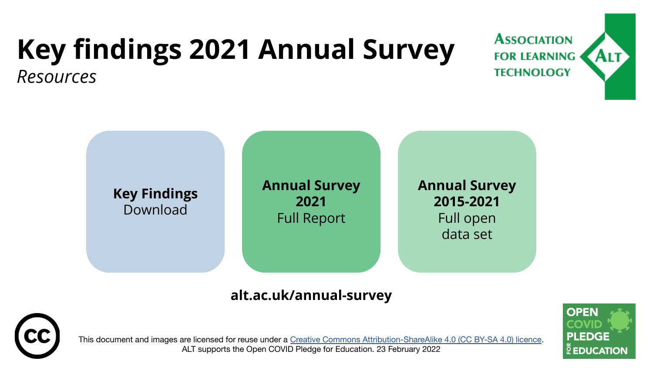## **Key findings 2021 Annual Survey**

**ASSOCIATION FOR LEARNING TECHNOLOGY** 

*Resources*



#### **alt.ac.uk/annual-survey**